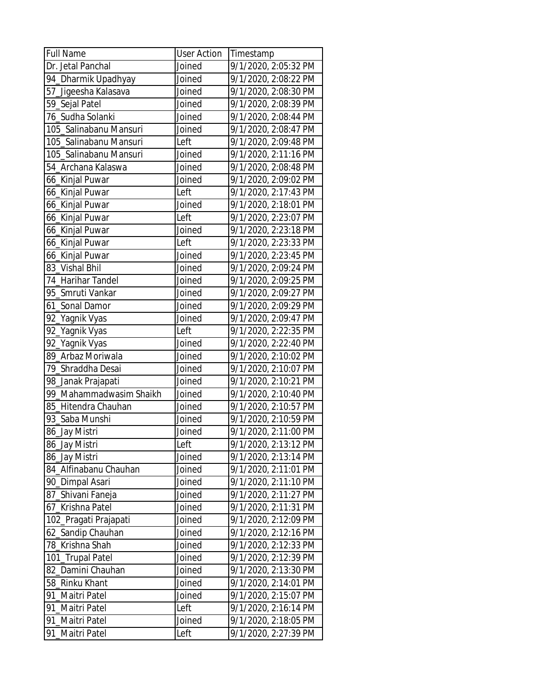| <b>Full Name</b>        | <b>User Action</b> | Timestamp            |
|-------------------------|--------------------|----------------------|
| Dr. Jetal Panchal       | Joined             | 9/1/2020, 2:05:32 PM |
| 94_Dharmik Upadhyay     | Joined             | 9/1/2020, 2:08:22 PM |
| 57_Jigeesha Kalasava    | Joined             | 9/1/2020, 2:08:30 PM |
| 59_Sejal Patel          | Joined             | 9/1/2020, 2:08:39 PM |
| 76_Sudha Solanki        | Joined             | 9/1/2020, 2:08:44 PM |
| 105_Salinabanu Mansuri  | Joined             | 9/1/2020, 2:08:47 PM |
| 105_Salinabanu Mansuri  | Left               | 9/1/2020, 2:09:48 PM |
| 105_Salinabanu Mansuri  | Joined             | 9/1/2020, 2:11:16 PM |
| 54 Archana Kalaswa      | Joined             | 9/1/2020, 2:08:48 PM |
| 66_Kinjal Puwar         | Joined             | 9/1/2020, 2:09:02 PM |
| 66_Kinjal Puwar         | Left               | 9/1/2020, 2:17:43 PM |
| 66_Kinjal Puwar         | Joined             | 9/1/2020, 2:18:01 PM |
| 66_Kinjal Puwar         | Left               | 9/1/2020, 2:23:07 PM |
| 66_Kinjal Puwar         | Joined             | 9/1/2020, 2:23:18 PM |
| 66_Kinjal Puwar         | Left               | 9/1/2020, 2:23:33 PM |
| 66_Kinjal Puwar         | Joined             | 9/1/2020, 2:23:45 PM |
| 83 Vishal Bhil          | Joined             | 9/1/2020, 2:09:24 PM |
| 74 Harihar Tandel       | Joined             | 9/1/2020, 2:09:25 PM |
| 95 Smruti Vankar        | Joined             | 9/1/2020, 2:09:27 PM |
| 61_Sonal Damor          | Joined             | 9/1/2020, 2:09:29 PM |
| 92_Yagnik Vyas          | Joined             | 9/1/2020, 2:09:47 PM |
| 92_Yagnik Vyas          | Left               | 9/1/2020, 2:22:35 PM |
| 92_Yagnik Vyas          | Joined             | 9/1/2020, 2:22:40 PM |
| 89 Arbaz Moriwala       | Joined             | 9/1/2020, 2:10:02 PM |
| 79_Shraddha Desai       | Joined             | 9/1/2020, 2:10:07 PM |
| 98_Janak Prajapati      | Joined             | 9/1/2020, 2:10:21 PM |
| 99_Mahammadwasim Shaikh | Joined             | 9/1/2020, 2:10:40 PM |
| 85 Hitendra Chauhan     | Joined             | 9/1/2020, 2:10:57 PM |
| 93 Saba Munshi          | Joined             | 9/1/2020, 2:10:59 PM |
| 86_Jay Mistri           | Joined             | 9/1/2020, 2:11:00 PM |
| 86_Jay Mistri           | Left               | 9/1/2020, 2:13:12 PM |
| 86 Jay Mistri           | Joined             | 9/1/2020, 2:13:14 PM |
| 84 Alfinabanu Chauhan   | Joined             | 9/1/2020, 2:11:01 PM |
| 90_Dimpal Asari         | Joined             | 9/1/2020, 2:11:10 PM |
| 87_Shivani Faneja       | Joined             | 9/1/2020, 2:11:27 PM |
| 67_Krishna Patel        | Joined             | 9/1/2020, 2:11:31 PM |
| 102_Pragati Prajapati   | Joined             | 9/1/2020, 2:12:09 PM |
| 62_Sandip Chauhan       | Joined             | 9/1/2020, 2:12:16 PM |
| 78 Krishna Shah         | Joined             | 9/1/2020, 2:12:33 PM |
| 101_Trupal Patel        | Joined             | 9/1/2020, 2:12:39 PM |
| 82_Damini Chauhan       | Joined             | 9/1/2020, 2:13:30 PM |
| 58_Rinku Khant          | Joined             | 9/1/2020, 2:14:01 PM |
| 91_Maitri Patel         | Joined             | 9/1/2020, 2:15:07 PM |
| 91_Maitri Patel         | Left               | 9/1/2020, 2:16:14 PM |
| 91_Maitri Patel         | Joined             | 9/1/2020, 2:18:05 PM |
| 91_Maitri Patel         | Left               | 9/1/2020, 2:27:39 PM |